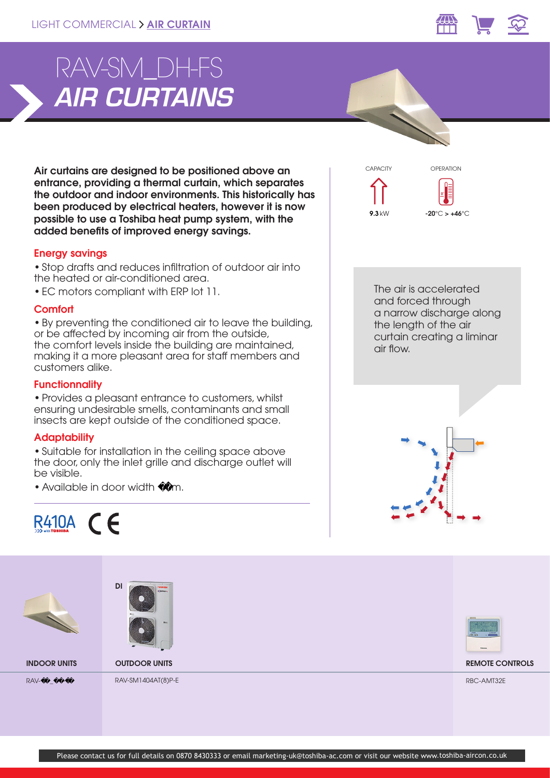

# *AIR CURTAINS* RAV-SM\_DH-FS

Air curtains are designed to be positioned above an entrance, providing a thermal curtain, which separates the outdoor and indoor environments. This historically has been produced by electrical heaters, however it is now possible to use a Toshiba heat pump system, with the added benefits of improved energy savings.

## Energy savings

• Stop drafts and reduces infiltration of outdoor air into the heated or air-conditioned area.

• EC motors compliant with ERP lot 11.

#### **Comfort**

• By preventing the conditioned air to leave the building, or be affected by incoming air from the outside, the comfort levels inside the building are maintained, making it a more pleasant area for staff members and customers alike.

### **Functionnality**

• Provides a pleasant entrance to customers, whilst ensuring undesirable smells, contaminants and small insects are kept outside of the conditioned space.

#### **Adaptability**

• Suitable for installation in the ceiling space above the door, only the inlet grille and discharge outlet will be visible.

• Available in door width 0m.





The air is accelerated and forced through a narrow discharge along the length of the air curtain creating a liminar air flow.

 $-20^{\circ}$ C >  $+46^{\circ}$ C

**0 °**

OPERATION

9.3 kW

CAPACITY